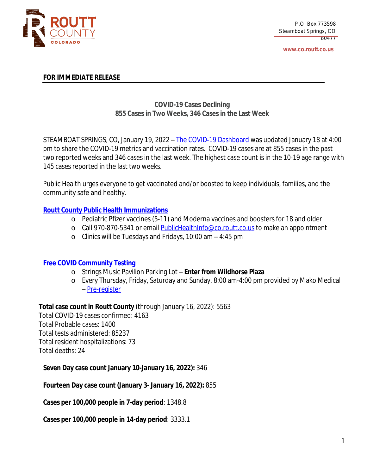

**www.co.routt.co.us**

## **FOR IMMEDIATE RELEASE**

# **COVID-19 Cases Declining 855 Cases in Two Weeks, 346 Cases in the Last Week**

STEAMBOAT SPRINGS, CO, January 19, 2022 – The COVID-19 [Dashboard](https://routtco-publichealth.shinyapps.io/COVID19-Dashboard/) was [updated](https://routtco-publichealth.shinyapps.io/COVID19-Dashboard/) [January](https://routtco-publichealth.shinyapps.io/COVID19-Dashboard/) [18](https://routtco-publichealth.shinyapps.io/COVID19-Dashboard/) [at](https://routtco-publichealth.shinyapps.io/COVID19-Dashboard/) [4:00](https://routtco-publichealth.shinyapps.io/COVID19-Dashboard/) [pm](https://routtco-publichealth.shinyapps.io/COVID19-Dashboard/) to [share](https://routtco-publichealth.shinyapps.io/COVID19-Dashboard/) [the](https://routtco-publichealth.shinyapps.io/COVID19-Dashboard/) COVID-19 m[e](https://routtco-publichealth.shinyapps.io/COVID19-Dashboard/)trics and [vaccination](https://routtco-publichealth.shinyapps.io/COVID19-Dashboard/) [ra](https://routtco-publichealth.shinyapps.io/COVID19-Dashboard/)te[s.](https://routtco-publichealth.shinyapps.io/COVID19-Dashboard/) [COVID-19](https://routtco-publichealth.shinyapps.io/COVID19-Dashboard/) cases are [at](https://routtco-publichealth.shinyapps.io/COVID19-Dashboard/) [855](https://routtco-publichealth.shinyapps.io/COVID19-Dashboard/) [cases](https://routtco-publichealth.shinyapps.io/COVID19-Dashboard/) in [the](https://routtco-publichealth.shinyapps.io/COVID19-Dashboard/) [past](https://routtco-publichealth.shinyapps.io/COVID19-Dashboard/) two [reported](https://routtco-publichealth.shinyapps.io/COVID19-Dashboard/) week[s](https://routtco-publichealth.shinyapps.io/COVID19-Dashboard/) [and](https://routtco-publichealth.shinyapps.io/COVID19-Dashboard/) [346](https://routtco-publichealth.shinyapps.io/COVID19-Dashboard/) cases in the last [week.](https://routtco-publichealth.shinyapps.io/COVID19-Dashboard/) [The](https://routtco-publichealth.shinyapps.io/COVID19-Dashboard/) h[ighest](https://routtco-publichealth.shinyapps.io/COVID19-Dashboard/) case count [is](https://routtco-publichealth.shinyapps.io/COVID19-Dashboard/) in the [10-19](https://routtco-publichealth.shinyapps.io/COVID19-Dashboard/) age range with 145 cases [reported](https://routtco-publichealth.shinyapps.io/COVID19-Dashboard/) in the last two weeks.

Public Health urges everyone to get vaccinated and/or boosted to keep [individuals,](https://routtco-publichealth.shinyapps.io/COVID19-Dashboard/) families, and the [community](https://routtco-publichealth.shinyapps.io/COVID19-Dashboard/) safe and healthy.

# **Routt County Public Health [Immunizations](https://www.covid19routtcounty.com/vaccine-information)**

- o Pediatric Pfizer vaccines (5-11) and Moderna vaccines and boosters for 18 and older
- o Call 970-870-5341 or email [PublicHealthInfo@co.routt.co.us](mailto:PublicHealthInfo@co.routt.co.us) to make an appointment
- o Clinics will be Tuesdays and Fridays, 10:00 am 4:45 pm

## **Free COVID [Community](https://www.covid19routtcounty.com/get-tested-for-covid19) Testing**

- o Strings Music Pavilion Parking Lot **Enter from Wildhorse Plaza**
- o Every Thursday, Friday, Saturday and Sunday, 8:00 am-4:00 pm provided by Mako Medical – [Pre-register](https://mako.exchange/scheduler/registration/?location=5922)

**Total case count in Routt [County](https://mako.exchange/scheduler/registration/?location=5922)** [\(through](https://mako.exchange/scheduler/registration/?location=5922) [January](https://mako.exchange/scheduler/registration/?location=5922) [16](https://mako.exchange/scheduler/registration/?location=5922), [2022\):](https://mako.exchange/scheduler/registration/?location=5922) [5563](https://mako.exchange/scheduler/registration/?location=5922)

Total [COVID-19](https://mako.exchange/scheduler/registration/?location=5922) cases [confirmed:](https://mako.exchange/scheduler/registration/?location=5922) [4163](https://mako.exchange/scheduler/registration/?location=5922) Total [Probable](https://mako.exchange/scheduler/registration/?location=5922) cases: [1400](https://mako.exchange/scheduler/registration/?location=5922) Total tests [administered:](https://mako.exchange/scheduler/registration/?location=5922) [85237](https://mako.exchange/scheduler/registration/?location=5922) Total resident [hospitalizations:](https://mako.exchange/scheduler/registration/?location=5922) [73](https://mako.exchange/scheduler/registration/?location=5922) Total [deaths:](https://mako.exchange/scheduler/registration/?location=5922) [24](https://mako.exchange/scheduler/registration/?location=5922)

**[Seven](https://mako.exchange/scheduler/registration/?location=5922) Day case count [January](https://mako.exchange/scheduler/registration/?location=5922) [10-January](https://mako.exchange/scheduler/registration/?location=5922) [16,](https://mako.exchange/scheduler/registration/?location=5922) [2022\):](https://mako.exchange/scheduler/registration/?location=5922)** [346](https://mako.exchange/scheduler/registration/?location=5922)

**[Fourteen](https://mako.exchange/scheduler/registration/?location=5922) Day case [count](https://mako.exchange/scheduler/registration/?location=5922) ([January](https://mako.exchange/scheduler/registration/?location=5922) [3-](https://mako.exchange/scheduler/registration/?location=5922) [January](https://mako.exchange/scheduler/registration/?location=5922) [16](https://mako.exchange/scheduler/registration/?location=5922), [2022\):](https://mako.exchange/scheduler/registration/?location=5922)** [855](https://mako.exchange/scheduler/registration/?location=5922)

**Cases per [100,000](https://mako.exchange/scheduler/registration/?location=5922) people in 7-day period**[:](https://mako.exchange/scheduler/registration/?location=5922) [1348.8](https://mako.exchange/scheduler/registration/?location=5922)

**Cases per [100,000](https://mako.exchange/scheduler/registration/?location=5922) people in 14-day period**[:](https://mako.exchange/scheduler/registration/?location=5922) [3333.1](https://mako.exchange/scheduler/registration/?location=5922)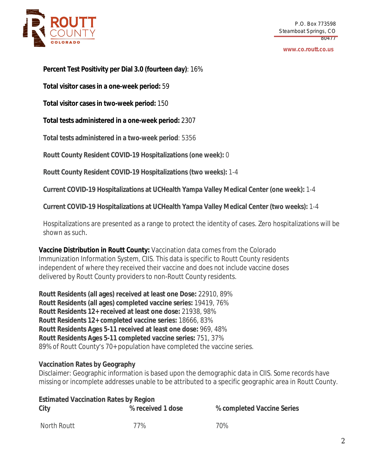

#### **www.co.routt.co.us**

**Percent Test Positivity per Dial 3.0 (fourteen day)**: 16%

**Total visitor cases in a one-week period:** 59

**Total visitor cases in two-week period:** 150

**Total tests administered in a one-week period:** 2307

**Total tests administered in a two-week period**: 5356

**Routt County Resident COVID-19 Hospitalizations (one week):** 0

**Routt County Resident COVID-19 Hospitalizations (two weeks):** 1-4

**Current COVID-19 Hospitalizations at UCHealth Yampa Valley Medical Center (one week):** 1-4

**Current COVID-19 Hospitalizations at UCHealth Yampa Valley Medical Center (two weeks):** 1-4

Hospitalizations are presented as a range to protect the identity of cases. Zero hospitalizations will be shown as such.

**Vaccine Distribution in Routt County:** Vaccination data comes from the Colorado Immunization Information System, CIIS. This data is specific to Routt County residents independent of where they received their vaccine and does not include vaccine doses delivered by Routt County providers to non-Routt County residents.

**Routt Residents (all ages) received at least one Dose:** 22910, 89% **Routt Residents (all ages) completed vaccine series:** 19419, 76% **Routt Residents 12+ received at least one dose:** 21938, 98% **Routt Residents 12+ completed vaccine series:** 18666, 83% **Routt Residents Ages 5-11 received at least one dose:** 969, 48% **Routt Residents Ages 5-11 completed vaccine series:** 751, 37% 89% of Routt County's 70+ population have completed the vaccine series.

## **Vaccination Rates by Geography**

Disclaimer: Geographic information is based upon the demographic data in CIIS. Some records have missing or incomplete addresses unable to be attributed to a specific geographic area in Routt County.

| <b>Estimated Vaccination Rates by Region</b> |                   |                            |  |
|----------------------------------------------|-------------------|----------------------------|--|
| City                                         | % received 1 dose | % completed Vaccine Series |  |
| North Routt                                  | 77%               | 70%                        |  |